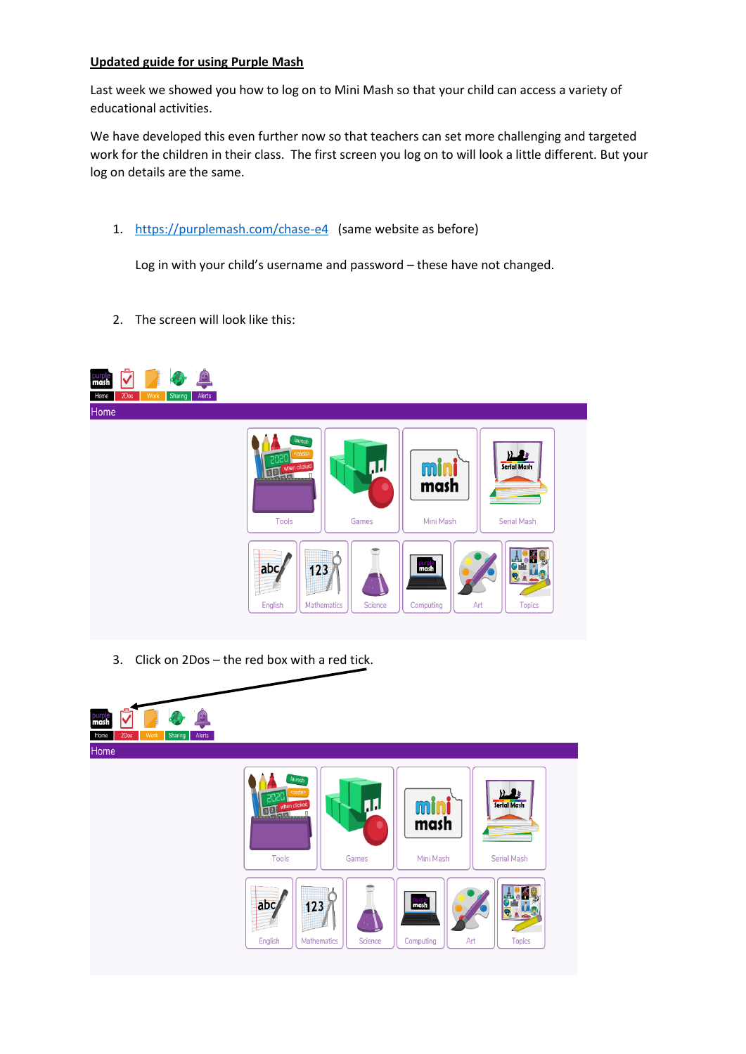## **Updated guide for using Purple Mash**

Last week we showed you how to log on to Mini Mash so that your child can access a variety of educational activities.

We have developed this even further now so that teachers can set more challenging and targeted work for the children in their class. The first screen you log on to will look a little different. But your log on details are the same.

1. <https://purplemash.com/chase-e4> (same website as before)

Log in with your child's username and password – these have not changed.

2. The screen will look like this:



3. Click on 2Dos – the red box with a red tick.

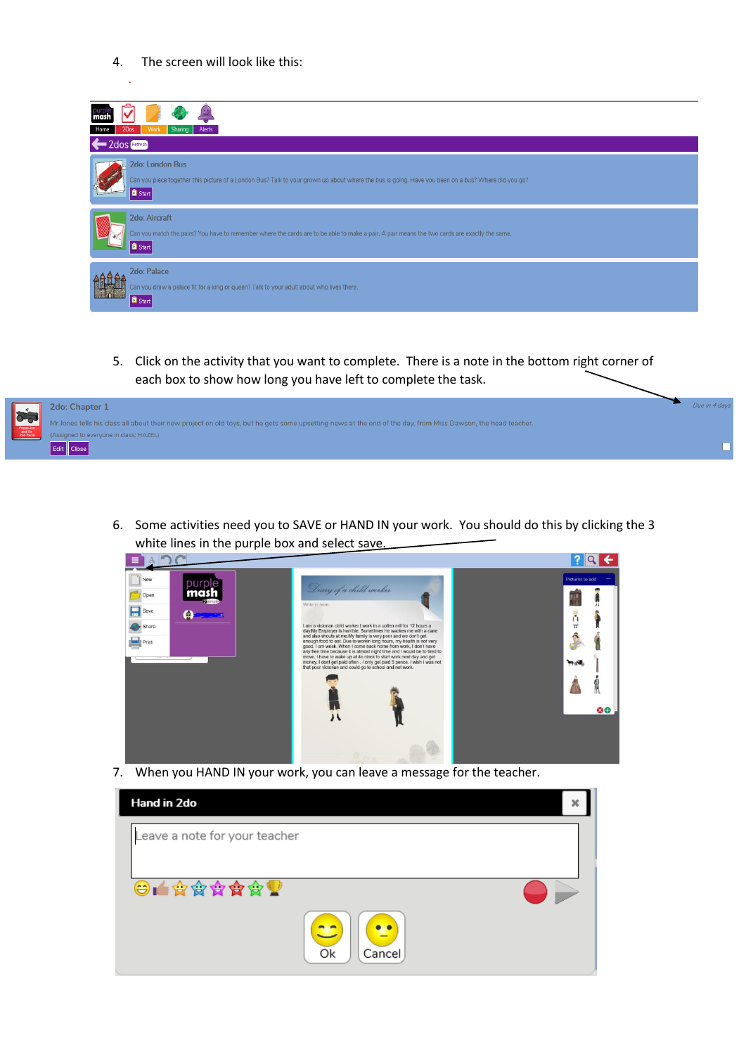4. The screen will look like this:

| 2Dos<br>Work<br>Sharing<br>Alerts<br>2dos Refresh                                                                                                                                       |
|-----------------------------------------------------------------------------------------------------------------------------------------------------------------------------------------|
| 2do: London Bus<br>Can you piece together this picture of a London Bus? Talk to your grown up about where the bus is going. Have you been on a bus? Where did you go?<br><b>B</b> Start |
| 2do: Aircraft<br>Can you match the pairs? You have to remember where the cards are to be able to make a pair. A pair means the two cards are exactly the same.<br><b>B</b> Start        |
| 2do: Palace<br>Can you draw a palace fit for a king or queen? Talk to your adult about who lives there.<br><b>B</b> Start                                                               |

5. Click on the activity that you want to complete. There is a note in the bottom right corner of each box to show how long you have left to complete the task.



6. Some activities need you to SAVE or HAND IN your work. You should do this by clicking the 3 white lines in the purple box and select save.<br> $\equiv$  ADC



7. When you HAND IN your work, you can leave a message for the teacher.

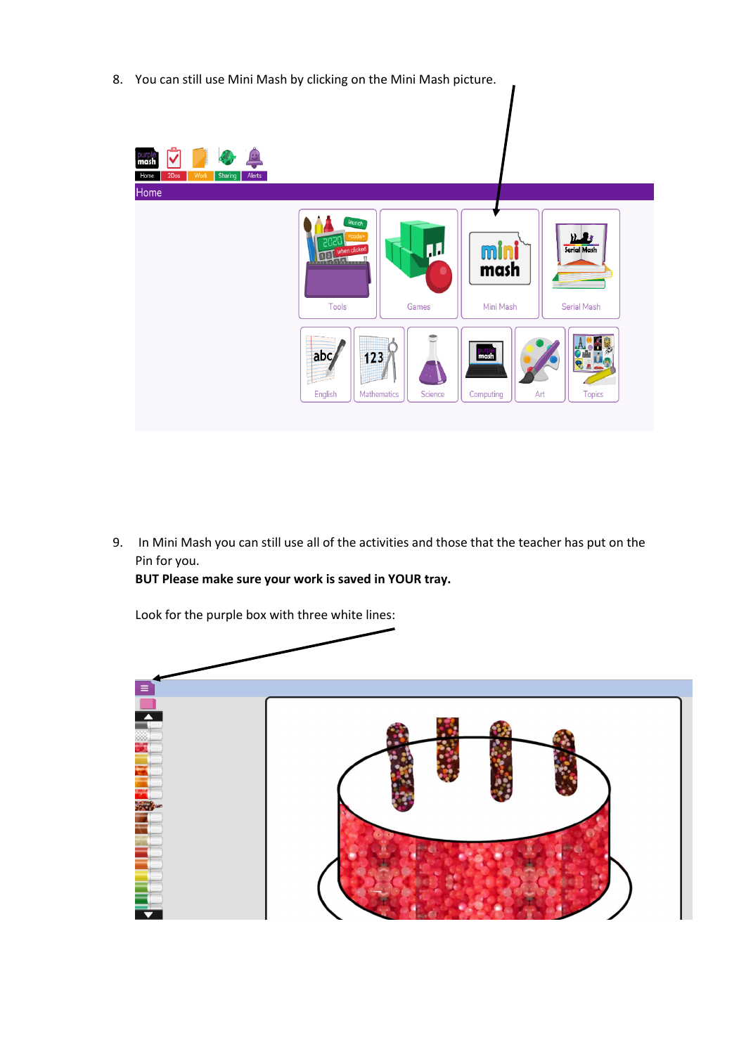8. You can still use Mini Mash by clicking on the Mini Mash picture.



9. In Mini Mash you can still use all of the activities and those that the teacher has put on the Pin for you.

**BUT Please make sure your work is saved in YOUR tray.** 

Look for the purple box with three white lines:  $\overline{\phantom{a}}$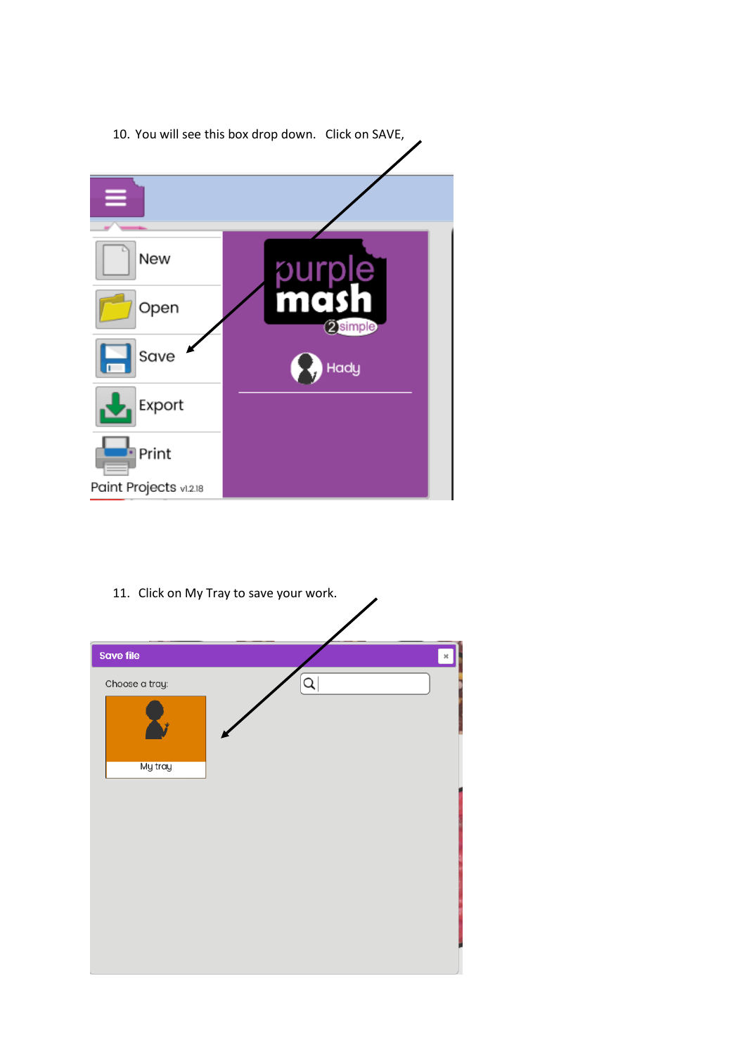

11. Click on My Tray to save your work.